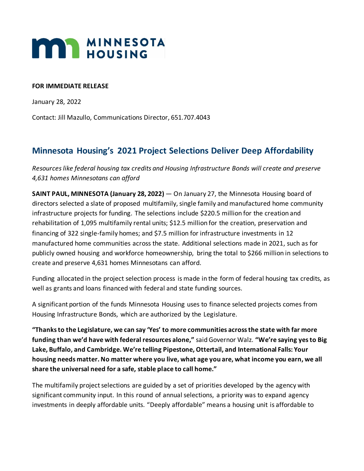

## **FOR IMMEDIATE RELEASE**

January 28, 2022

Contact: Jill Mazullo, Communications Director, 651.707.4043

## **Minnesota Housing's 2021 Project Selections Deliver Deep Affordability**

*Resourceslike federal housing tax credits and Housing Infrastructure Bonds will create and preserve 4,631 homes Minnesotans can afford*

**SAINT PAUL, MINNESOTA (January 28, 2022)** — On January 27, the Minnesota Housing board of directors selected a slate of proposed multifamily, single family and manufactured home community infrastructure projects for funding. The selections include \$220.5 million for the creation and rehabilitation of 1,095 multifamily rental units; \$12.5 million for the creation, preservation and financing of 322 single-family homes; and \$7.5 million for infrastructure investments in 12 manufactured home communities across the state. Additional selections made in 2021, such as for publicly owned housing and workforce homeownership, bring the total to \$266 million in selections to create and preserve 4,631 homes Minnesotans can afford.

Funding allocated in the project selection process is made in the form of federal housing tax credits, as well as grants and loans financed with federal and state funding sources.

A significant portion of the funds Minnesota Housing uses to finance selected projects comes from Housing Infrastructure Bonds, which are authorized by the Legislature.

**"Thanks to the Legislature, we can say 'Yes' to more communities across the state with far more funding than we'd have with federal resources alone,"** said Governor Walz. **"We're saying yes to Big Lake, Buffalo, and Cambridge. We're telling Pipestone, Ottertail, and International Falls: Your housing needs matter. No matter where you live, what age you are, what income you earn, we all share the universal need for a safe, stable place to call home."**

The multifamily project selections are guided by a set of priorities developed by the agency with significant community input. In this round of annual selections, a priority was to expand agency investments in deeply affordable units. "Deeply affordable" means a housing unit is affordable to